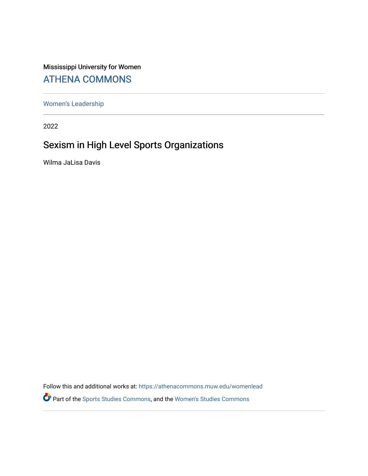## Mississippi University for Women [ATHENA COMMONS](https://athenacommons.muw.edu/)

[Women's Leadership](https://athenacommons.muw.edu/womenlead) 

2022

# Sexism in High Level Sports Organizations

Wilma JaLisa Davis

Follow this and additional works at: [https://athenacommons.muw.edu/womenlead](https://athenacommons.muw.edu/womenlead?utm_source=athenacommons.muw.edu%2Fwomenlead%2F1&utm_medium=PDF&utm_campaign=PDFCoverPages) Part of the [Sports Studies Commons,](http://network.bepress.com/hgg/discipline/1198?utm_source=athenacommons.muw.edu%2Fwomenlead%2F1&utm_medium=PDF&utm_campaign=PDFCoverPages) and the [Women's Studies Commons](http://network.bepress.com/hgg/discipline/561?utm_source=athenacommons.muw.edu%2Fwomenlead%2F1&utm_medium=PDF&utm_campaign=PDFCoverPages)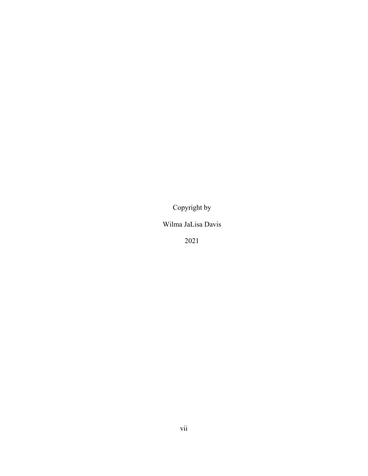Copyright by

Wilma JaLisa Davis

2021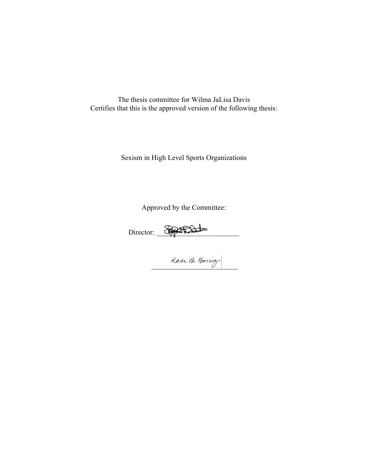The thesis committee for Wilma JaLisa Davis Certifies that this is the approved version of the following thesis:

Sexism in High Level Sports Organizations

Approved by the Committee:

Director: \_\_\_\_\_\_\_\_\_\_\_\_\_\_\_\_\_\_\_\_\_\_\_

Kate B. Bossieg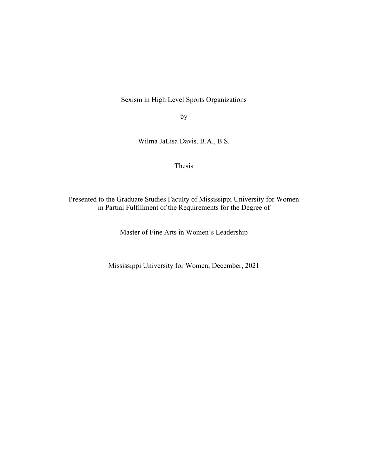Sexism in High Level Sports Organizations

by

Wilma JaLisa Davis, B.A., B.S.

Thesis

Presented to the Graduate Studies Faculty of Mississippi University for Women in Partial Fulfillment of the Requirements for the Degree of

Master of Fine Arts in Women's Leadership

Mississippi University for Women, December, 2021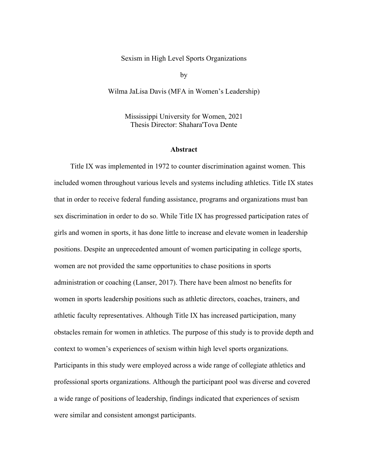Sexism in High Level Sports Organizations

by

Wilma JaLisa Davis (MFA in Women's Leadership)

Mississippi University for Women, 2021 Thesis Director: Shahara'Tova Dente

#### **Abstract**

Title IX was implemented in 1972 to counter discrimination against women. This included women throughout various levels and systems including athletics. Title IX states that in order to receive federal funding assistance, programs and organizations must ban sex discrimination in order to do so. While Title IX has progressed participation rates of girls and women in sports, it has done little to increase and elevate women in leadership positions. Despite an unprecedented amount of women participating in college sports, women are not provided the same opportunities to chase positions in sports administration or coaching (Lanser, 2017). There have been almost no benefits for women in sports leadership positions such as athletic directors, coaches, trainers, and athletic faculty representatives. Although Title IX has increased participation, many obstacles remain for women in athletics. The purpose of this study is to provide depth and context to women's experiences of sexism within high level sports organizations. Participants in this study were employed across a wide range of collegiate athletics and professional sports organizations. Although the participant pool was diverse and covered a wide range of positions of leadership, findings indicated that experiences of sexism were similar and consistent amongst participants.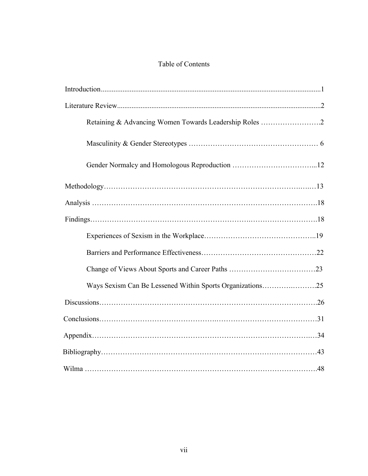## Table of Contents

| Retaining & Advancing Women Towards Leadership Roles 2    |
|-----------------------------------------------------------|
|                                                           |
|                                                           |
|                                                           |
|                                                           |
|                                                           |
|                                                           |
|                                                           |
|                                                           |
| Ways Sexism Can Be Lessened Within Sports Organizations25 |
|                                                           |
|                                                           |
|                                                           |
|                                                           |
|                                                           |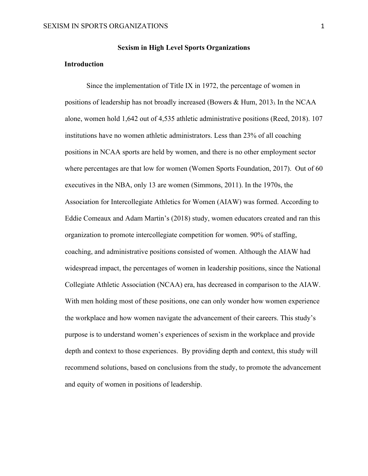#### **Introduction**

Since the implementation of Title IX in 1972, the percentage of women in positions of leadership has not broadly increased (Bowers & Hum, 2013). In the NCAA alone, women hold 1,642 out of 4,535 athletic administrative positions (Reed, 2018). 107 institutions have no women athletic administrators. Less than 23% of all coaching positions in NCAA sports are held by women, and there is no other employment sector where percentages are that low for women (Women Sports Foundation, 2017). Out of 60 executives in the NBA, only 13 are women (Simmons, 2011). In the 1970s, the Association for Intercollegiate Athletics for Women (AIAW) was formed. According to Eddie Comeaux and Adam Martin's (2018) study, women educators created and ran this organization to promote intercollegiate competition for women. 90% of staffing, coaching, and administrative positions consisted of women. Although the AIAW had widespread impact, the percentages of women in leadership positions, since the National Collegiate Athletic Association (NCAA) era, has decreased in comparison to the AIAW. With men holding most of these positions, one can only wonder how women experience the workplace and how women navigate the advancement of their careers. This study's purpose is to understand women's experiences of sexism in the workplace and provide depth and context to those experiences. By providing depth and context, this study will recommend solutions, based on conclusions from the study, to promote the advancement and equity of women in positions of leadership.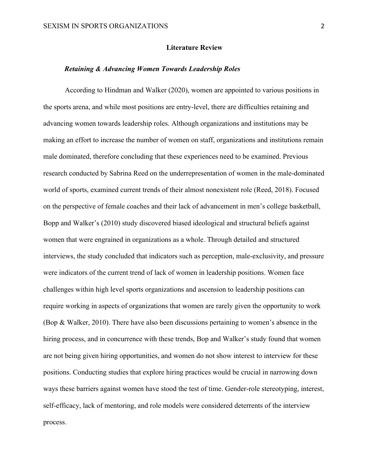#### **Literature Review**

#### *Retaining & Advancing Women Towards Leadership Roles*

According to Hindman and Walker (2020), women are appointed to various positions in the sports arena, and while most positions are entry-level, there are difficulties retaining and advancing women towards leadership roles. Although organizations and institutions may be making an effort to increase the number of women on staff, organizations and institutions remain male dominated, therefore concluding that these experiences need to be examined. Previous research conducted by Sabrina Reed on the underrepresentation of women in the male-dominated world of sports, examined current trends of their almost nonexistent role (Reed, 2018). Focused on the perspective of female coaches and their lack of advancement in men's college basketball, Bopp and Walker's (2010) study discovered biased ideological and structural beliefs against women that were engrained in organizations as a whole. Through detailed and structured interviews, the study concluded that indicators such as perception, male-exclusivity, and pressure were indicators of the current trend of lack of women in leadership positions. Women face challenges within high level sports organizations and ascension to leadership positions can require working in aspects of organizations that women are rarely given the opportunity to work (Bop & Walker, 2010). There have also been discussions pertaining to women's absence in the hiring process, and in concurrence with these trends, Bop and Walker's study found that women are not being given hiring opportunities, and women do not show interest to interview for these positions. Conducting studies that explore hiring practices would be crucial in narrowing down ways these barriers against women have stood the test of time. Gender-role stereotyping, interest, self-efficacy, lack of mentoring, and role models were considered deterrents of the interview process.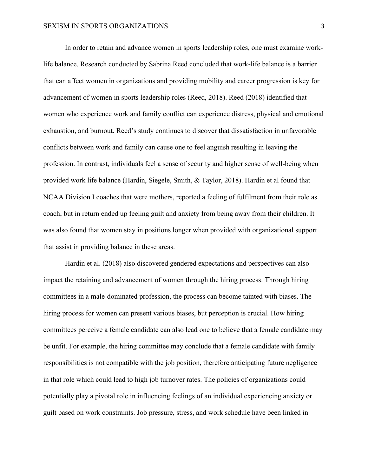In order to retain and advance women in sports leadership roles, one must examine worklife balance. Research conducted by Sabrina Reed concluded that work-life balance is a barrier that can affect women in organizations and providing mobility and career progression is key for advancement of women in sports leadership roles (Reed, 2018). Reed (2018) identified that women who experience work and family conflict can experience distress, physical and emotional exhaustion, and burnout. Reed's study continues to discover that dissatisfaction in unfavorable conflicts between work and family can cause one to feel anguish resulting in leaving the profession. In contrast, individuals feel a sense of security and higher sense of well-being when provided work life balance (Hardin, Siegele, Smith, & Taylor, 2018). Hardin et al found that NCAA Division I coaches that were mothers, reported a feeling of fulfilment from their role as coach, but in return ended up feeling guilt and anxiety from being away from their children. It was also found that women stay in positions longer when provided with organizational support that assist in providing balance in these areas.

Hardin et al. (2018) also discovered gendered expectations and perspectives can also impact the retaining and advancement of women through the hiring process. Through hiring committees in a male-dominated profession, the process can become tainted with biases. The hiring process for women can present various biases, but perception is crucial. How hiring committees perceive a female candidate can also lead one to believe that a female candidate may be unfit. For example, the hiring committee may conclude that a female candidate with family responsibilities is not compatible with the job position, therefore anticipating future negligence in that role which could lead to high job turnover rates. The policies of organizations could potentially play a pivotal role in influencing feelings of an individual experiencing anxiety or guilt based on work constraints. Job pressure, stress, and work schedule have been linked in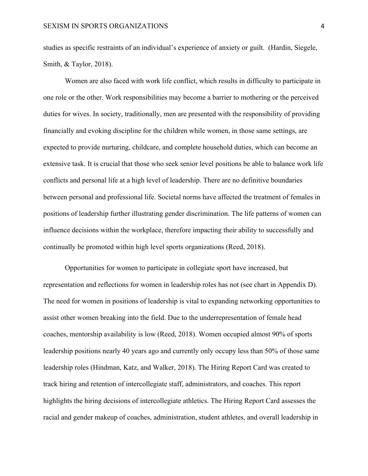studies as specific restraints of an individual's experience of anxiety or guilt. (Hardin, Siegele, Smith, & Taylor, 2018).

Women are also faced with work life conflict, which results in difficulty to participate in one role or the other. Work responsibilities may become a barrier to mothering or the perceived duties for wives. In society, traditionally, men are presented with the responsibility of providing financially and evoking discipline for the children while women, in those same settings, are expected to provide nurturing, childcare, and complete household duties, which can become an extensive task. It is crucial that those who seek senior level positions be able to balance work life conflicts and personal life at a high level of leadership. There are no definitive boundaries between personal and professional life. Societal norms have affected the treatment of females in positions of leadership further illustrating gender discrimination. The life patterns of women can influence decisions within the workplace, therefore impacting their ability to successfully and continually be promoted within high level sports organizations (Reed, 2018).

Opportunities for women to participate in collegiate sport have increased, but representation and reflections for women in leadership roles has not (see chart in Appendix D). The need for women in positions of leadership is vital to expanding networking opportunities to assist other women breaking into the field. Due to the underrepresentation of female head coaches, mentorship availability is low (Reed, 2018). Women occupied almost 90% of sports leadership positions nearly 40 years ago and currently only occupy less than 50% of those same leadership roles (Hindman, Katz, and Walker, 2018). The Hiring Report Card was created to track hiring and retention of intercollegiate staff, administrators, and coaches. This report highlights the hiring decisions of intercollegiate athletics. The Hiring Report Card assesses the racial and gender makeup of coaches, administration, student athletes, and overall leadership in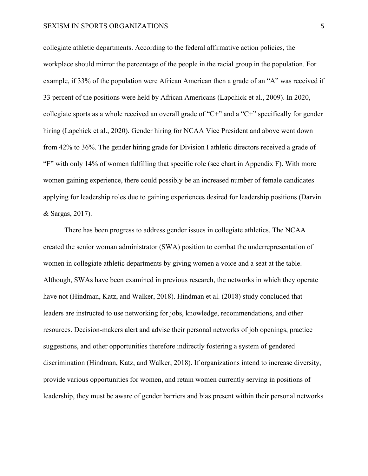collegiate athletic departments. According to the federal affirmative action policies, the workplace should mirror the percentage of the people in the racial group in the population. For example, if 33% of the population were African American then a grade of an "A" was received if 33 percent of the positions were held by African Americans (Lapchick et al., 2009). In 2020, collegiate sports as a whole received an overall grade of "C+" and a "C+" specifically for gender hiring (Lapchick et al., 2020). Gender hiring for NCAA Vice President and above went down from 42% to 36%. The gender hiring grade for Division I athletic directors received a grade of "F" with only 14% of women fulfilling that specific role (see chart in Appendix F). With more women gaining experience, there could possibly be an increased number of female candidates applying for leadership roles due to gaining experiences desired for leadership positions (Darvin & Sargas, 2017).

There has been progress to address gender issues in collegiate athletics. The NCAA created the senior woman administrator (SWA) position to combat the underrepresentation of women in collegiate athletic departments by giving women a voice and a seat at the table. Although, SWAs have been examined in previous research, the networks in which they operate have not (Hindman, Katz, and Walker, 2018). Hindman et al. (2018) study concluded that leaders are instructed to use networking for jobs, knowledge, recommendations, and other resources. Decision-makers alert and advise their personal networks of job openings, practice suggestions, and other opportunities therefore indirectly fostering a system of gendered discrimination (Hindman, Katz, and Walker, 2018). If organizations intend to increase diversity, provide various opportunities for women, and retain women currently serving in positions of leadership, they must be aware of gender barriers and bias present within their personal networks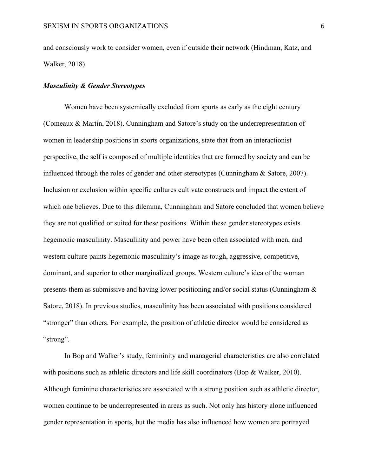and consciously work to consider women, even if outside their network (Hindman, Katz, and Walker, 2018).

#### *Masculinity & Gender Stereotypes*

Women have been systemically excluded from sports as early as the eight century (Comeaux & Martin, 2018). Cunningham and Satore's study on the underrepresentation of women in leadership positions in sports organizations, state that from an interactionist perspective, the self is composed of multiple identities that are formed by society and can be influenced through the roles of gender and other stereotypes (Cunningham & Satore, 2007). Inclusion or exclusion within specific cultures cultivate constructs and impact the extent of which one believes. Due to this dilemma, Cunningham and Satore concluded that women believe they are not qualified or suited for these positions. Within these gender stereotypes exists hegemonic masculinity. Masculinity and power have been often associated with men, and western culture paints hegemonic masculinity's image as tough, aggressive, competitive, dominant, and superior to other marginalized groups. Western culture's idea of the woman presents them as submissive and having lower positioning and/or social status (Cunningham & Satore, 2018). In previous studies, masculinity has been associated with positions considered "stronger" than others. For example, the position of athletic director would be considered as "strong".

In Bop and Walker's study, femininity and managerial characteristics are also correlated with positions such as athletic directors and life skill coordinators (Bop & Walker, 2010). Although feminine characteristics are associated with a strong position such as athletic director, women continue to be underrepresented in areas as such. Not only has history alone influenced gender representation in sports, but the media has also influenced how women are portrayed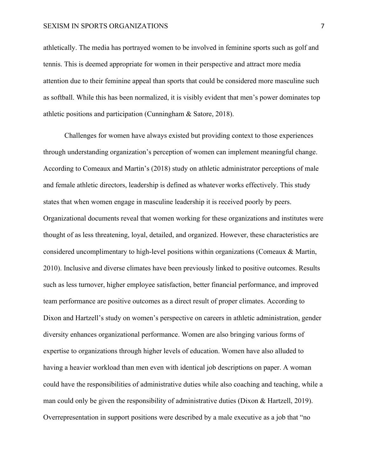#### SEXISM IN SPORTS ORGANIZATIONS 7

athletically. The media has portrayed women to be involved in feminine sports such as golf and tennis. This is deemed appropriate for women in their perspective and attract more media attention due to their feminine appeal than sports that could be considered more masculine such as softball. While this has been normalized, it is visibly evident that men's power dominates top athletic positions and participation (Cunningham & Satore, 2018).

Challenges for women have always existed but providing context to those experiences through understanding organization's perception of women can implement meaningful change. According to Comeaux and Martin's (2018) study on athletic administrator perceptions of male and female athletic directors, leadership is defined as whatever works effectively. This study states that when women engage in masculine leadership it is received poorly by peers. Organizational documents reveal that women working for these organizations and institutes were thought of as less threatening, loyal, detailed, and organized. However, these characteristics are considered uncomplimentary to high-level positions within organizations (Comeaux & Martin, 2010). Inclusive and diverse climates have been previously linked to positive outcomes. Results such as less turnover, higher employee satisfaction, better financial performance, and improved team performance are positive outcomes as a direct result of proper climates. According to Dixon and Hartzell's study on women's perspective on careers in athletic administration, gender diversity enhances organizational performance. Women are also bringing various forms of expertise to organizations through higher levels of education. Women have also alluded to having a heavier workload than men even with identical job descriptions on paper. A woman could have the responsibilities of administrative duties while also coaching and teaching, while a man could only be given the responsibility of administrative duties (Dixon & Hartzell, 2019). Overrepresentation in support positions were described by a male executive as a job that "no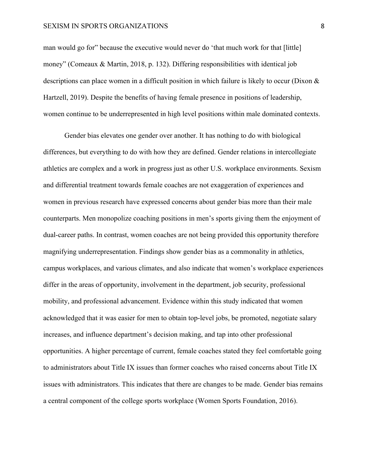#### SEXISM IN SPORTS ORGANIZATIONS 8

man would go for" because the executive would never do 'that much work for that [little] money" (Comeaux & Martin, 2018, p. 132). Differing responsibilities with identical job descriptions can place women in a difficult position in which failure is likely to occur (Dixon & Hartzell, 2019). Despite the benefits of having female presence in positions of leadership, women continue to be underrepresented in high level positions within male dominated contexts.

Gender bias elevates one gender over another. It has nothing to do with biological differences, but everything to do with how they are defined. Gender relations in intercollegiate athletics are complex and a work in progress just as other U.S. workplace environments. Sexism and differential treatment towards female coaches are not exaggeration of experiences and women in previous research have expressed concerns about gender bias more than their male counterparts. Men monopolize coaching positions in men's sports giving them the enjoyment of dual-career paths. In contrast, women coaches are not being provided this opportunity therefore magnifying underrepresentation. Findings show gender bias as a commonality in athletics, campus workplaces, and various climates, and also indicate that women's workplace experiences differ in the areas of opportunity, involvement in the department, job security, professional mobility, and professional advancement. Evidence within this study indicated that women acknowledged that it was easier for men to obtain top-level jobs, be promoted, negotiate salary increases, and influence department's decision making, and tap into other professional opportunities. A higher percentage of current, female coaches stated they feel comfortable going to administrators about Title IX issues than former coaches who raised concerns about Title IX issues with administrators. This indicates that there are changes to be made. Gender bias remains a central component of the college sports workplace (Women Sports Foundation, 2016).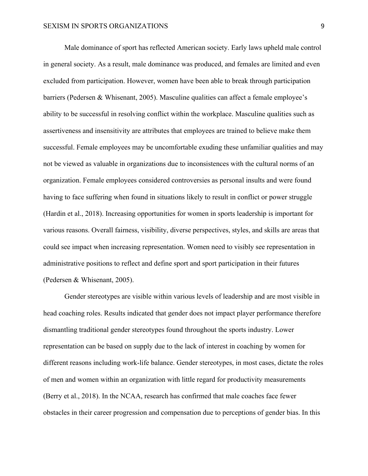Male dominance of sport has reflected American society. Early laws upheld male control in general society. As a result, male dominance was produced, and females are limited and even excluded from participation. However, women have been able to break through participation barriers (Pedersen & Whisenant, 2005). Masculine qualities can affect a female employee's ability to be successful in resolving conflict within the workplace. Masculine qualities such as assertiveness and insensitivity are attributes that employees are trained to believe make them successful. Female employees may be uncomfortable exuding these unfamiliar qualities and may not be viewed as valuable in organizations due to inconsistences with the cultural norms of an organization. Female employees considered controversies as personal insults and were found having to face suffering when found in situations likely to result in conflict or power struggle (Hardin et al., 2018). Increasing opportunities for women in sports leadership is important for various reasons. Overall fairness, visibility, diverse perspectives, styles, and skills are areas that could see impact when increasing representation. Women need to visibly see representation in administrative positions to reflect and define sport and sport participation in their futures (Pedersen & Whisenant, 2005).

Gender stereotypes are visible within various levels of leadership and are most visible in head coaching roles. Results indicated that gender does not impact player performance therefore dismantling traditional gender stereotypes found throughout the sports industry. Lower representation can be based on supply due to the lack of interest in coaching by women for different reasons including work-life balance. Gender stereotypes, in most cases, dictate the roles of men and women within an organization with little regard for productivity measurements (Berry et al., 2018). In the NCAA, research has confirmed that male coaches face fewer obstacles in their career progression and compensation due to perceptions of gender bias. In this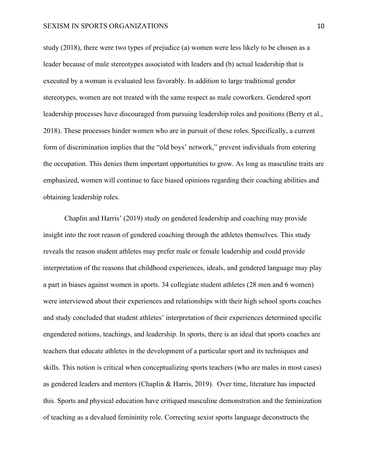#### SEXISM IN SPORTS ORGANIZATIONS 10

study (2018), there were two types of prejudice (a) women were less likely to be chosen as a leader because of male stereotypes associated with leaders and (b) actual leadership that is executed by a woman is evaluated less favorably. In addition to large traditional gender stereotypes, women are not treated with the same respect as male coworkers. Gendered sport leadership processes have discouraged from pursuing leadership roles and positions (Berry et al., 2018). These processes hinder women who are in pursuit of these roles. Specifically, a current form of discrimination implies that the "old boys' network," prevent individuals from entering the occupation. This denies them important opportunities to grow. As long as masculine traits are emphasized, women will continue to face biased opinions regarding their coaching abilities and obtaining leadership roles.

Chaplin and Harris' (2019) study on gendered leadership and coaching may provide insight into the root reason of gendered coaching through the athletes themselves. This study reveals the reason student athletes may prefer male or female leadership and could provide interpretation of the reasons that childhood experiences, ideals, and gendered language may play a part in biases against women in sports. 34 collegiate student athletes (28 men and 6 women) were interviewed about their experiences and relationships with their high school sports coaches and study concluded that student athletes' interpretation of their experiences determined specific engendered notions, teachings, and leadership. In sports, there is an ideal that sports coaches are teachers that educate athletes in the development of a particular sport and its techniques and skills. This notion is critical when conceptualizing sports teachers (who are males in most cases) as gendered leaders and mentors (Chaplin & Harris, 2019). Over time, literature has impacted this. Sports and physical education have critiqued masculine demonstration and the feminization of teaching as a devalued femininity role. Correcting sexist sports language deconstructs the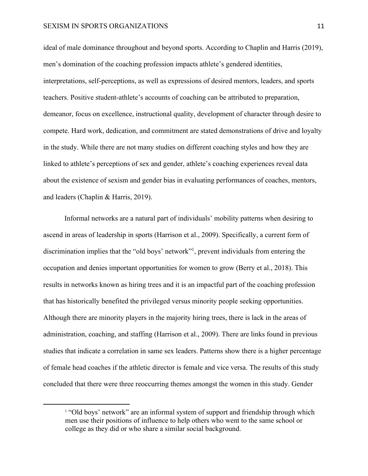#### SEXISM IN SPORTS ORGANIZATIONS 11

ideal of male dominance throughout and beyond sports. According to Chaplin and Harris (2019), men's domination of the coaching profession impacts athlete's gendered identities, interpretations, self-perceptions, as well as expressions of desired mentors, leaders, and sports teachers. Positive student-athlete's accounts of coaching can be attributed to preparation, demeanor, focus on excellence, instructional quality, development of character through desire to compete. Hard work, dedication, and commitment are stated demonstrations of drive and loyalty in the study. While there are not many studies on different coaching styles and how they are linked to athlete's perceptions of sex and gender, athlete's coaching experiences reveal data about the existence of sexism and gender bias in evaluating performances of coaches, mentors, and leaders (Chaplin & Harris, 2019).

Informal networks are a natural part of individuals' mobility patterns when desiring to ascend in areas of leadership in sports (Harrison et al., 2009). Specifically, a current form of discrimination implies that the "old boys' network"<sup>1</sup>, prevent individuals from entering the occupation and denies important opportunities for women to grow (Berry et al., 2018). This results in networks known as hiring trees and it is an impactful part of the coaching profession that has historically benefited the privileged versus minority people seeking opportunities. Although there are minority players in the majority hiring trees, there is lack in the areas of administration, coaching, and staffing (Harrison et al., 2009). There are links found in previous studies that indicate a correlation in same sex leaders. Patterns show there is a higher percentage of female head coaches if the athletic director is female and vice versa. The results of this study concluded that there were three reoccurring themes amongst the women in this study. Gender

<sup>&</sup>lt;sup>1</sup> "Old boys' network" are an informal system of support and friendship through which men use their positions of influence to help others who went to the same school or college as they did or who share a similar social background.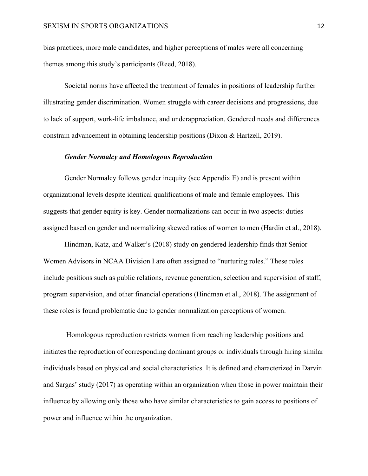bias practices, more male candidates, and higher perceptions of males were all concerning themes among this study's participants (Reed, 2018).

Societal norms have affected the treatment of females in positions of leadership further illustrating gender discrimination. Women struggle with career decisions and progressions, due to lack of support, work-life imbalance, and underappreciation. Gendered needs and differences constrain advancement in obtaining leadership positions (Dixon & Hartzell, 2019).

#### *Gender Normalcy and Homologous Reproduction*

Gender Normalcy follows gender inequity (see Appendix E) and is present within organizational levels despite identical qualifications of male and female employees. This suggests that gender equity is key. Gender normalizations can occur in two aspects: duties assigned based on gender and normalizing skewed ratios of women to men (Hardin et al., 2018).

Hindman, Katz, and Walker's (2018) study on gendered leadership finds that Senior Women Advisors in NCAA Division I are often assigned to "nurturing roles." These roles include positions such as public relations, revenue generation, selection and supervision of staff, program supervision, and other financial operations (Hindman et al., 2018). The assignment of these roles is found problematic due to gender normalization perceptions of women.

Homologous reproduction restricts women from reaching leadership positions and initiates the reproduction of corresponding dominant groups or individuals through hiring similar individuals based on physical and social characteristics. It is defined and characterized in Darvin and Sargas' study (2017) as operating within an organization when those in power maintain their influence by allowing only those who have similar characteristics to gain access to positions of power and influence within the organization.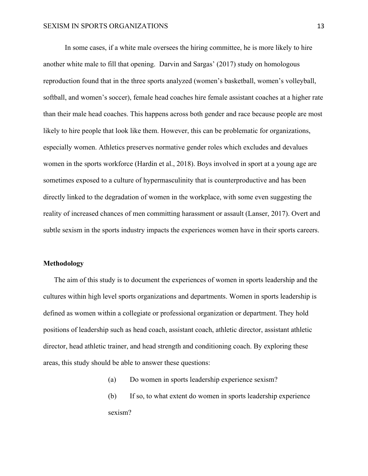In some cases, if a white male oversees the hiring committee, he is more likely to hire another white male to fill that opening. Darvin and Sargas' (2017) study on homologous reproduction found that in the three sports analyzed (women's basketball, women's volleyball, softball, and women's soccer), female head coaches hire female assistant coaches at a higher rate than their male head coaches. This happens across both gender and race because people are most likely to hire people that look like them. However, this can be problematic for organizations, especially women. Athletics preserves normative gender roles which excludes and devalues women in the sports workforce (Hardin et al., 2018). Boys involved in sport at a young age are sometimes exposed to a culture of hypermasculinity that is counterproductive and has been directly linked to the degradation of women in the workplace, with some even suggesting the reality of increased chances of men committing harassment or assault (Lanser, 2017). Overt and subtle sexism in the sports industry impacts the experiences women have in their sports careers.

#### **Methodology**

The aim of this study is to document the experiences of women in sports leadership and the cultures within high level sports organizations and departments. Women in sports leadership is defined as women within a collegiate or professional organization or department. They hold positions of leadership such as head coach, assistant coach, athletic director, assistant athletic director, head athletic trainer, and head strength and conditioning coach. By exploring these areas, this study should be able to answer these questions:

- (a) Do women in sports leadership experience sexism?
- (b) If so, to what extent do women in sports leadership experience sexism?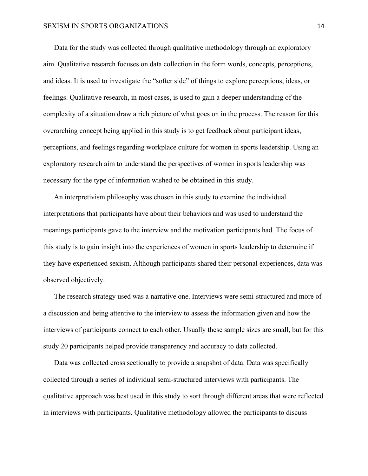Data for the study was collected through qualitative methodology through an exploratory aim. Qualitative research focuses on data collection in the form words, concepts, perceptions, and ideas. It is used to investigate the "softer side" of things to explore perceptions, ideas, or feelings. Qualitative research, in most cases, is used to gain a deeper understanding of the complexity of a situation draw a rich picture of what goes on in the process. The reason for this overarching concept being applied in this study is to get feedback about participant ideas, perceptions, and feelings regarding workplace culture for women in sports leadership. Using an exploratory research aim to understand the perspectives of women in sports leadership was necessary for the type of information wished to be obtained in this study.

An interpretivism philosophy was chosen in this study to examine the individual interpretations that participants have about their behaviors and was used to understand the meanings participants gave to the interview and the motivation participants had. The focus of this study is to gain insight into the experiences of women in sports leadership to determine if they have experienced sexism. Although participants shared their personal experiences, data was observed objectively.

The research strategy used was a narrative one. Interviews were semi-structured and more of a discussion and being attentive to the interview to assess the information given and how the interviews of participants connect to each other. Usually these sample sizes are small, but for this study 20 participants helped provide transparency and accuracy to data collected.

Data was collected cross sectionally to provide a snapshot of data. Data was specifically collected through a series of individual semi-structured interviews with participants. The qualitative approach was best used in this study to sort through different areas that were reflected in interviews with participants. Qualitative methodology allowed the participants to discuss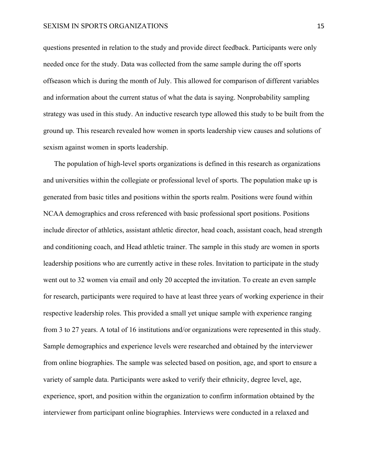questions presented in relation to the study and provide direct feedback. Participants were only needed once for the study. Data was collected from the same sample during the off sports offseason which is during the month of July. This allowed for comparison of different variables and information about the current status of what the data is saying. Nonprobability sampling strategy was used in this study. An inductive research type allowed this study to be built from the ground up. This research revealed how women in sports leadership view causes and solutions of sexism against women in sports leadership.

The population of high-level sports organizations is defined in this research as organizations and universities within the collegiate or professional level of sports. The population make up is generated from basic titles and positions within the sports realm. Positions were found within NCAA demographics and cross referenced with basic professional sport positions. Positions include director of athletics, assistant athletic director, head coach, assistant coach, head strength and conditioning coach, and Head athletic trainer. The sample in this study are women in sports leadership positions who are currently active in these roles. Invitation to participate in the study went out to 32 women via email and only 20 accepted the invitation. To create an even sample for research, participants were required to have at least three years of working experience in their respective leadership roles. This provided a small yet unique sample with experience ranging from 3 to 27 years. A total of 16 institutions and/or organizations were represented in this study. Sample demographics and experience levels were researched and obtained by the interviewer from online biographies. The sample was selected based on position, age, and sport to ensure a variety of sample data. Participants were asked to verify their ethnicity, degree level, age, experience, sport, and position within the organization to confirm information obtained by the interviewer from participant online biographies. Interviews were conducted in a relaxed and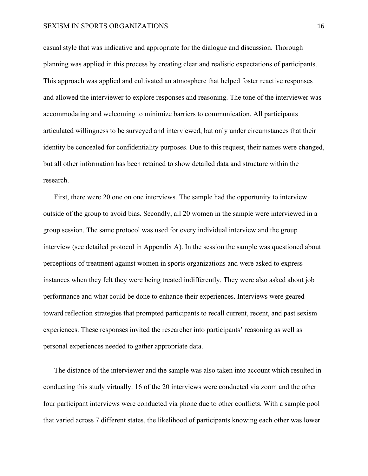#### SEXISM IN SPORTS ORGANIZATIONS 16

casual style that was indicative and appropriate for the dialogue and discussion. Thorough planning was applied in this process by creating clear and realistic expectations of participants. This approach was applied and cultivated an atmosphere that helped foster reactive responses and allowed the interviewer to explore responses and reasoning. The tone of the interviewer was accommodating and welcoming to minimize barriers to communication. All participants articulated willingness to be surveyed and interviewed, but only under circumstances that their identity be concealed for confidentiality purposes. Due to this request, their names were changed, but all other information has been retained to show detailed data and structure within the research.

First, there were 20 one on one interviews. The sample had the opportunity to interview outside of the group to avoid bias. Secondly, all 20 women in the sample were interviewed in a group session. The same protocol was used for every individual interview and the group interview (see detailed protocol in Appendix A). In the session the sample was questioned about perceptions of treatment against women in sports organizations and were asked to express instances when they felt they were being treated indifferently. They were also asked about job performance and what could be done to enhance their experiences. Interviews were geared toward reflection strategies that prompted participants to recall current, recent, and past sexism experiences. These responses invited the researcher into participants' reasoning as well as personal experiences needed to gather appropriate data.

The distance of the interviewer and the sample was also taken into account which resulted in conducting this study virtually. 16 of the 20 interviews were conducted via zoom and the other four participant interviews were conducted via phone due to other conflicts. With a sample pool that varied across 7 different states, the likelihood of participants knowing each other was lower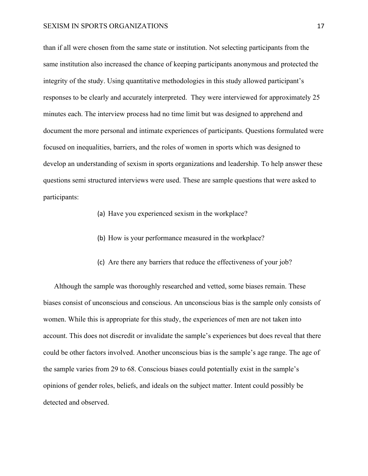#### SEXISM IN SPORTS ORGANIZATIONS 17

than if all were chosen from the same state or institution. Not selecting participants from the same institution also increased the chance of keeping participants anonymous and protected the integrity of the study. Using quantitative methodologies in this study allowed participant's responses to be clearly and accurately interpreted. They were interviewed for approximately 25 minutes each. The interview process had no time limit but was designed to apprehend and document the more personal and intimate experiences of participants. Questions formulated were focused on inequalities, barriers, and the roles of women in sports which was designed to develop an understanding of sexism in sports organizations and leadership. To help answer these questions semi structured interviews were used. These are sample questions that were asked to participants:

- (a) Have you experienced sexism in the workplace?
- (b) How is your performance measured in the workplace?
- (c) Are there any barriers that reduce the effectiveness of your job?

Although the sample was thoroughly researched and vetted, some biases remain. These biases consist of unconscious and conscious. An unconscious bias is the sample only consists of women. While this is appropriate for this study, the experiences of men are not taken into account. This does not discredit or invalidate the sample's experiences but does reveal that there could be other factors involved. Another unconscious bias is the sample's age range. The age of the sample varies from 29 to 68. Conscious biases could potentially exist in the sample's opinions of gender roles, beliefs, and ideals on the subject matter. Intent could possibly be detected and observed.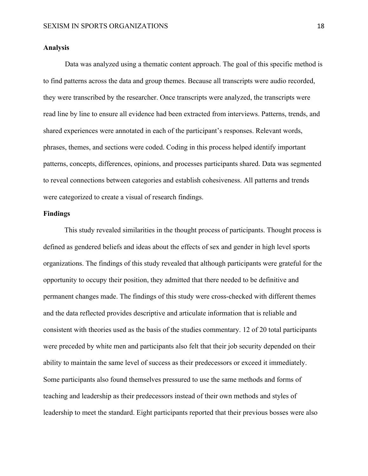#### **Analysis**

Data was analyzed using a thematic content approach. The goal of this specific method is to find patterns across the data and group themes. Because all transcripts were audio recorded, they were transcribed by the researcher. Once transcripts were analyzed, the transcripts were read line by line to ensure all evidence had been extracted from interviews. Patterns, trends, and shared experiences were annotated in each of the participant's responses. Relevant words, phrases, themes, and sections were coded. Coding in this process helped identify important patterns, concepts, differences, opinions, and processes participants shared. Data was segmented to reveal connections between categories and establish cohesiveness. All patterns and trends were categorized to create a visual of research findings.

#### **Findings**

This study revealed similarities in the thought process of participants. Thought process is defined as gendered beliefs and ideas about the effects of sex and gender in high level sports organizations. The findings of this study revealed that although participants were grateful for the opportunity to occupy their position, they admitted that there needed to be definitive and permanent changes made. The findings of this study were cross-checked with different themes and the data reflected provides descriptive and articulate information that is reliable and consistent with theories used as the basis of the studies commentary. 12 of 20 total participants were preceded by white men and participants also felt that their job security depended on their ability to maintain the same level of success as their predecessors or exceed it immediately. Some participants also found themselves pressured to use the same methods and forms of teaching and leadership as their predecessors instead of their own methods and styles of leadership to meet the standard. Eight participants reported that their previous bosses were also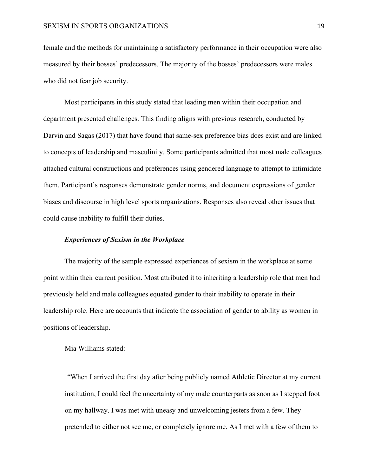female and the methods for maintaining a satisfactory performance in their occupation were also measured by their bosses' predecessors. The majority of the bosses' predecessors were males who did not fear job security.

Most participants in this study stated that leading men within their occupation and department presented challenges. This finding aligns with previous research, conducted by Darvin and Sagas (2017) that have found that same-sex preference bias does exist and are linked to concepts of leadership and masculinity. Some participants admitted that most male colleagues attached cultural constructions and preferences using gendered language to attempt to intimidate them. Participant's responses demonstrate gender norms, and document expressions of gender biases and discourse in high level sports organizations. Responses also reveal other issues that could cause inability to fulfill their duties.

#### *Experiences of Sexism in the Workplace*

The majority of the sample expressed experiences of sexism in the workplace at some point within their current position. Most attributed it to inheriting a leadership role that men had previously held and male colleagues equated gender to their inability to operate in their leadership role. Here are accounts that indicate the association of gender to ability as women in positions of leadership.

#### Mia Williams stated:

"When I arrived the first day after being publicly named Athletic Director at my current institution, I could feel the uncertainty of my male counterparts as soon as I stepped foot on my hallway. I was met with uneasy and unwelcoming jesters from a few. They pretended to either not see me, or completely ignore me. As I met with a few of them to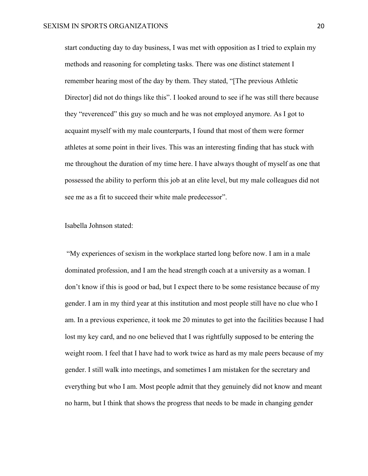start conducting day to day business, I was met with opposition as I tried to explain my methods and reasoning for completing tasks. There was one distinct statement I remember hearing most of the day by them. They stated, "[The previous Athletic Director] did not do things like this". I looked around to see if he was still there because they "reverenced" this guy so much and he was not employed anymore. As I got to acquaint myself with my male counterparts, I found that most of them were former athletes at some point in their lives. This was an interesting finding that has stuck with me throughout the duration of my time here. I have always thought of myself as one that possessed the ability to perform this job at an elite level, but my male colleagues did not see me as a fit to succeed their white male predecessor".

#### Isabella Johnson stated:

"My experiences of sexism in the workplace started long before now. I am in a male dominated profession, and I am the head strength coach at a university as a woman. I don't know if this is good or bad, but I expect there to be some resistance because of my gender. I am in my third year at this institution and most people still have no clue who I am. In a previous experience, it took me 20 minutes to get into the facilities because I had lost my key card, and no one believed that I was rightfully supposed to be entering the weight room. I feel that I have had to work twice as hard as my male peers because of my gender. I still walk into meetings, and sometimes I am mistaken for the secretary and everything but who I am. Most people admit that they genuinely did not know and meant no harm, but I think that shows the progress that needs to be made in changing gender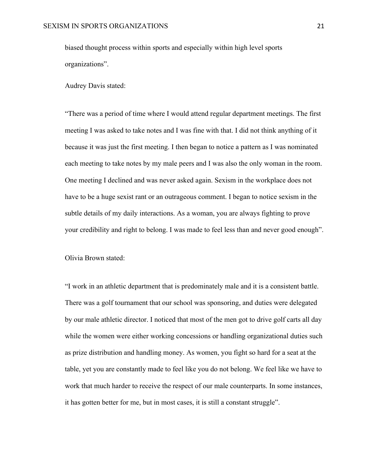biased thought process within sports and especially within high level sports organizations".

Audrey Davis stated:

"There was a period of time where I would attend regular department meetings. The first meeting I was asked to take notes and I was fine with that. I did not think anything of it because it was just the first meeting. I then began to notice a pattern as I was nominated each meeting to take notes by my male peers and I was also the only woman in the room. One meeting I declined and was never asked again. Sexism in the workplace does not have to be a huge sexist rant or an outrageous comment. I began to notice sexism in the subtle details of my daily interactions. As a woman, you are always fighting to prove your credibility and right to belong. I was made to feel less than and never good enough".

Olivia Brown stated:

"I work in an athletic department that is predominately male and it is a consistent battle. There was a golf tournament that our school was sponsoring, and duties were delegated by our male athletic director. I noticed that most of the men got to drive golf carts all day while the women were either working concessions or handling organizational duties such as prize distribution and handling money. As women, you fight so hard for a seat at the table, yet you are constantly made to feel like you do not belong. We feel like we have to work that much harder to receive the respect of our male counterparts. In some instances, it has gotten better for me, but in most cases, it is still a constant struggle".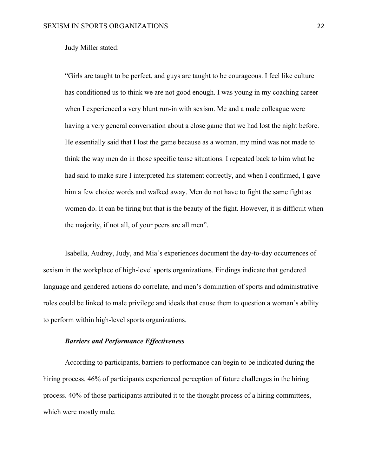Judy Miller stated:

"Girls are taught to be perfect, and guys are taught to be courageous. I feel like culture has conditioned us to think we are not good enough. I was young in my coaching career when I experienced a very blunt run-in with sexism. Me and a male colleague were having a very general conversation about a close game that we had lost the night before. He essentially said that I lost the game because as a woman, my mind was not made to think the way men do in those specific tense situations. I repeated back to him what he had said to make sure I interpreted his statement correctly, and when I confirmed, I gave him a few choice words and walked away. Men do not have to fight the same fight as women do. It can be tiring but that is the beauty of the fight. However, it is difficult when the majority, if not all, of your peers are all men".

Isabella, Audrey, Judy, and Mia's experiences document the day-to-day occurrences of sexism in the workplace of high-level sports organizations. Findings indicate that gendered language and gendered actions do correlate, and men's domination of sports and administrative roles could be linked to male privilege and ideals that cause them to question a woman's ability to perform within high-level sports organizations.

#### *Barriers and Performance Effectiveness*

According to participants, barriers to performance can begin to be indicated during the hiring process. 46% of participants experienced perception of future challenges in the hiring process. 40% of those participants attributed it to the thought process of a hiring committees, which were mostly male.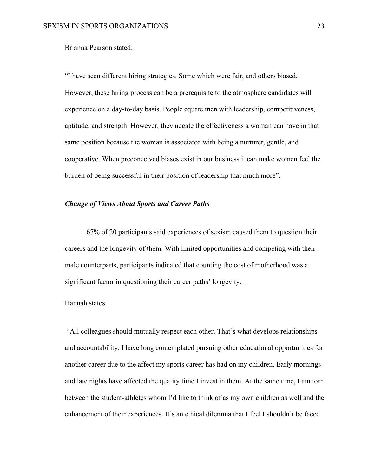#### Brianna Pearson stated:

"I have seen different hiring strategies. Some which were fair, and others biased. However, these hiring process can be a prerequisite to the atmosphere candidates will experience on a day-to-day basis. People equate men with leadership, competitiveness, aptitude, and strength. However, they negate the effectiveness a woman can have in that same position because the woman is associated with being a nurturer, gentle, and cooperative. When preconceived biases exist in our business it can make women feel the burden of being successful in their position of leadership that much more".

#### *Change of Views About Sports and Career Paths*

67% of 20 participants said experiences of sexism caused them to question their careers and the longevity of them. With limited opportunities and competing with their male counterparts, participants indicated that counting the cost of motherhood was a significant factor in questioning their career paths' longevity.

#### Hannah states:

"All colleagues should mutually respect each other. That's what develops relationships and accountability. I have long contemplated pursuing other educational opportunities for another career due to the affect my sports career has had on my children. Early mornings and late nights have affected the quality time I invest in them. At the same time, I am torn between the student-athletes whom I'd like to think of as my own children as well and the enhancement of their experiences. It's an ethical dilemma that I feel I shouldn't be faced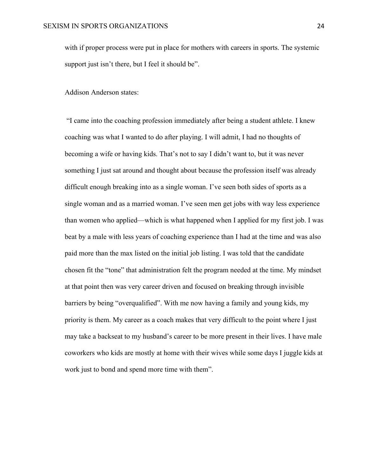with if proper process were put in place for mothers with careers in sports. The systemic support just isn't there, but I feel it should be".

#### Addison Anderson states:

"I came into the coaching profession immediately after being a student athlete. I knew coaching was what I wanted to do after playing. I will admit, I had no thoughts of becoming a wife or having kids. That's not to say I didn't want to, but it was never something I just sat around and thought about because the profession itself was already difficult enough breaking into as a single woman. I've seen both sides of sports as a single woman and as a married woman. I've seen men get jobs with way less experience than women who applied—which is what happened when I applied for my first job. I was beat by a male with less years of coaching experience than I had at the time and was also paid more than the max listed on the initial job listing. I was told that the candidate chosen fit the "tone" that administration felt the program needed at the time. My mindset at that point then was very career driven and focused on breaking through invisible barriers by being "overqualified". With me now having a family and young kids, my priority is them. My career as a coach makes that very difficult to the point where I just may take a backseat to my husband's career to be more present in their lives. I have male coworkers who kids are mostly at home with their wives while some days I juggle kids at work just to bond and spend more time with them".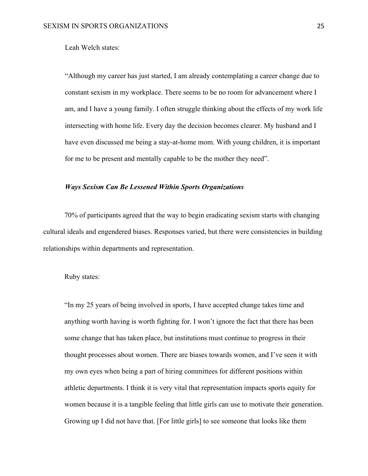Leah Welch states:

"Although my career has just started, I am already contemplating a career change due to constant sexism in my workplace. There seems to be no room for advancement where I am, and I have a young family. I often struggle thinking about the effects of my work life intersecting with home life. Every day the decision becomes clearer. My husband and I have even discussed me being a stay-at-home mom. With young children, it is important for me to be present and mentally capable to be the mother they need".

#### *Ways Sexism Can Be Lessened Within Sports Organizations*

70% of participants agreed that the way to begin eradicating sexism starts with changing cultural ideals and engendered biases. Responses varied, but there were consistencies in building relationships within departments and representation.

#### Ruby states:

"In my 25 years of being involved in sports, I have accepted change takes time and anything worth having is worth fighting for. I won't ignore the fact that there has been some change that has taken place, but institutions must continue to progress in their thought processes about women. There are biases towards women, and I've seen it with my own eyes when being a part of hiring committees for different positions within athletic departments. I think it is very vital that representation impacts sports equity for women because it is a tangible feeling that little girls can use to motivate their generation. Growing up I did not have that. [For little girls] to see someone that looks like them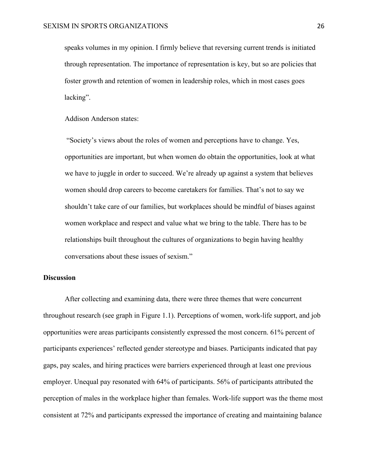speaks volumes in my opinion. I firmly believe that reversing current trends is initiated through representation. The importance of representation is key, but so are policies that foster growth and retention of women in leadership roles, which in most cases goes lacking".

Addison Anderson states:

"Society's views about the roles of women and perceptions have to change. Yes, opportunities are important, but when women do obtain the opportunities, look at what we have to juggle in order to succeed. We're already up against a system that believes women should drop careers to become caretakers for families. That's not to say we shouldn't take care of our families, but workplaces should be mindful of biases against women workplace and respect and value what we bring to the table. There has to be relationships built throughout the cultures of organizations to begin having healthy conversations about these issues of sexism."

#### **Discussion**

After collecting and examining data, there were three themes that were concurrent throughout research (see graph in Figure 1.1). Perceptions of women, work-life support, and job opportunities were areas participants consistently expressed the most concern. 61% percent of participants experiences' reflected gender stereotype and biases. Participants indicated that pay gaps, pay scales, and hiring practices were barriers experienced through at least one previous employer. Unequal pay resonated with 64% of participants. 56% of participants attributed the perception of males in the workplace higher than females. Work-life support was the theme most consistent at 72% and participants expressed the importance of creating and maintaining balance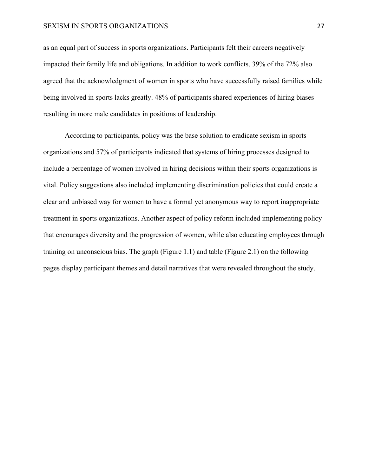#### SEXISM IN SPORTS ORGANIZATIONS 27

as an equal part of success in sports organizations. Participants felt their careers negatively impacted their family life and obligations. In addition to work conflicts, 39% of the 72% also agreed that the acknowledgment of women in sports who have successfully raised families while being involved in sports lacks greatly. 48% of participants shared experiences of hiring biases resulting in more male candidates in positions of leadership.

According to participants, policy was the base solution to eradicate sexism in sports organizations and 57% of participants indicated that systems of hiring processes designed to include a percentage of women involved in hiring decisions within their sports organizations is vital. Policy suggestions also included implementing discrimination policies that could create a clear and unbiased way for women to have a formal yet anonymous way to report inappropriate treatment in sports organizations. Another aspect of policy reform included implementing policy that encourages diversity and the progression of women, while also educating employees through training on unconscious bias. The graph (Figure 1.1) and table (Figure 2.1) on the following pages display participant themes and detail narratives that were revealed throughout the study.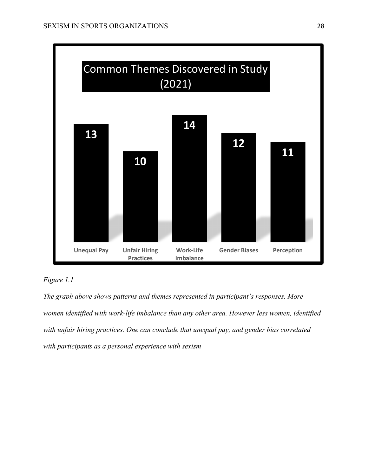



*The graph above shows patterns and themes represented in participant's responses. More women identified with work-life imbalance than any other area. However less women, identified with unfair hiring practices. One can conclude that unequal pay, and gender bias correlated with participants as a personal experience with sexism*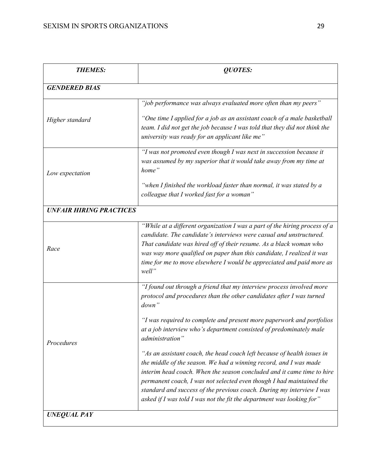| <b>THEMES:</b>                 | QUOTES:                                                                                                                                                                                                                                                                                                                                                                                                                                          |  |  |  |
|--------------------------------|--------------------------------------------------------------------------------------------------------------------------------------------------------------------------------------------------------------------------------------------------------------------------------------------------------------------------------------------------------------------------------------------------------------------------------------------------|--|--|--|
| <b>GENDERED BIAS</b>           |                                                                                                                                                                                                                                                                                                                                                                                                                                                  |  |  |  |
|                                | "job performance was always evaluated more often than my peers"                                                                                                                                                                                                                                                                                                                                                                                  |  |  |  |
| Higher standard                | "One time I applied for a job as an assistant coach of a male basketball<br>team. I did not get the job because I was told that they did not think the<br>university was ready for an applicant like me"                                                                                                                                                                                                                                         |  |  |  |
| Low expectation                | "I was not promoted even though I was next in succession because it<br>was assumed by my superior that it would take away from my time at<br>home"                                                                                                                                                                                                                                                                                               |  |  |  |
|                                | "when I finished the workload faster than normal, it was stated by a<br>colleague that I worked fast for a woman"                                                                                                                                                                                                                                                                                                                                |  |  |  |
| <b>UNFAIR HIRING PRACTICES</b> |                                                                                                                                                                                                                                                                                                                                                                                                                                                  |  |  |  |
| Race                           | "While at a different organization I was a part of the hiring process of a<br>candidate. The candidate's interviews were casual and unstructured.<br>That candidate was hired off of their resume. As a black woman who<br>was way more qualified on paper than this candidate, I realized it was<br>time for me to move elsewhere I would be appreciated and paid more as<br>well"                                                              |  |  |  |
|                                | "I found out through a friend that my interview process involved more<br>protocol and procedures than the other candidates after I was turned<br>down"                                                                                                                                                                                                                                                                                           |  |  |  |
| Procedures                     | "I was required to complete and present more paperwork and portfolios<br>at a job interview who's department consisted of predominately male<br>administration"                                                                                                                                                                                                                                                                                  |  |  |  |
|                                | "As an assistant coach, the head coach left because of health issues in<br>the middle of the season. We had a winning record, and I was made<br>interim head coach. When the season concluded and it came time to hire<br>permanent coach, I was not selected even though I had maintained the<br>standard and success of the previous coach. During my interview I was<br>asked if I was told I was not the fit the department was looking for" |  |  |  |
| <b>UNEQUAL PAY</b>             |                                                                                                                                                                                                                                                                                                                                                                                                                                                  |  |  |  |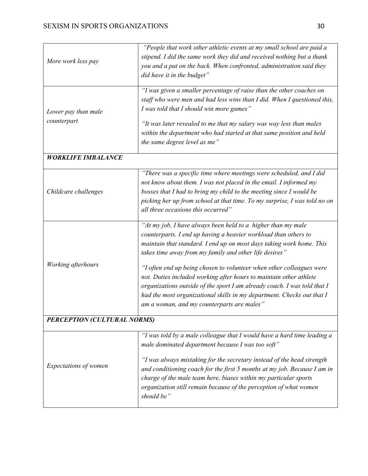| More work less pay                 | "People that work other athletic events at my small school are paid a<br>stipend. I did the same work they did and received nothing but a thank<br>you and a pat on the back. When confronted, administration said they<br>did have it in the budget"                                                                                                                                                                                                                                                                                                                                                               |  |  |
|------------------------------------|---------------------------------------------------------------------------------------------------------------------------------------------------------------------------------------------------------------------------------------------------------------------------------------------------------------------------------------------------------------------------------------------------------------------------------------------------------------------------------------------------------------------------------------------------------------------------------------------------------------------|--|--|
| Lower pay than male<br>counterpart | "I was given a smaller percentage of raise than the other coaches on<br>staff who were men and had less wins than I did. When I questioned this,<br>I was told that I should win more games"<br>"It was later revealed to me that my salary was way less than males<br>within the department who had started at that same position and held<br>the same degree level as me"                                                                                                                                                                                                                                         |  |  |
| <b>WORKLIFE IMBALANCE</b>          |                                                                                                                                                                                                                                                                                                                                                                                                                                                                                                                                                                                                                     |  |  |
| Childcare challenges               | "There was a specific time where meetings were scheduled, and I did<br>not know about them. I was not placed in the email. I informed my<br>bosses that I had to bring my child to the meeting since I would be<br>picking her up from school at that time. To my surprise, I was told no on<br>all three occasions this occurred"                                                                                                                                                                                                                                                                                  |  |  |
| Working afterhours                 | "At my job, I have always been held to a higher than my male<br>counterparts. I end up having a heavier workload than others to<br>maintain that standard. I end up on most days taking work home. This<br>takes time away from my family and other life desires"<br>"I often end up being chosen to volunteer when other colleagues were<br>not. Duties included working after hours to maintain other athlete<br>organizations outside of the sport I am already coach. I was told that I<br>had the most organizational skills in my department. Checks out that I<br>am a woman, and my counterparts are males" |  |  |
| PERCEPTION (CULTURAL NORMS)        |                                                                                                                                                                                                                                                                                                                                                                                                                                                                                                                                                                                                                     |  |  |
| Expectations of women              | "I was told by a male colleague that I would have a hard time leading a<br>male dominated department because I was too soft"<br>"I was always mistaking for the secretary instead of the head strength<br>and conditioning coach for the first 5 months at my job. Because I am in<br>charge of the male team here, biases within my particular sports<br>organization still remain because of the perception of what women<br>should be"                                                                                                                                                                           |  |  |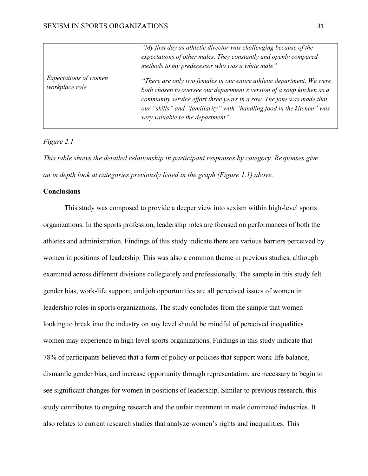|                                         | "My first day as athletic director was challenging because of the<br>expectations of other males. They constantly and openly compared<br>methods to my predecessor who was a white male"                                                                                                                                                |
|-----------------------------------------|-----------------------------------------------------------------------------------------------------------------------------------------------------------------------------------------------------------------------------------------------------------------------------------------------------------------------------------------|
| Expectations of women<br>workplace role | "There are only two females in our entire athletic department. We were<br>both chosen to oversee our department's version of a soup kitchen as a<br>community service effort three years in a row. The joke was made that<br>our "skills" and "familiarity" with "handling food in the kitchen" was<br>very valuable to the department" |

#### *Figure 2.1*

*This table shows the detailed relationship in participant responses by category. Responses give an in depth look at categories previously listed in the graph (Figure 1.1) above.* 

#### **Conclusions**

This study was composed to provide a deeper view into sexism within high-level sports organizations. In the sports profession, leadership roles are focused on performances of both the athletes and administration. Findings of this study indicate there are various barriers perceived by women in positions of leadership. This was also a common theme in previous studies, although examined across different divisions collegiately and professionally. The sample in this study felt gender bias, work-life support, and job opportunities are all perceived issues of women in leadership roles in sports organizations. The study concludes from the sample that women looking to break into the industry on any level should be mindful of perceived inequalities women may experience in high level sports organizations. Findings in this study indicate that 78% of participants believed that a form of policy or policies that support work-life balance, dismantle gender bias, and increase opportunity through representation, are necessary to begin to see significant changes for women in positions of leadership. Similar to previous research, this study contributes to ongoing research and the unfair treatment in male dominated industries. It also relates to current research studies that analyze women's rights and inequalities. This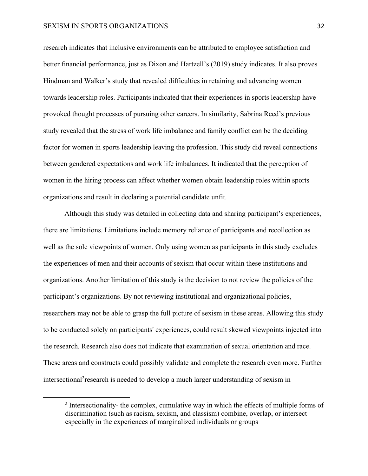#### SEXISM IN SPORTS ORGANIZATIONS 32

research indicates that inclusive environments can be attributed to employee satisfaction and better financial performance, just as Dixon and Hartzell's (2019) study indicates. It also proves Hindman and Walker's study that revealed difficulties in retaining and advancing women towards leadership roles. Participants indicated that their experiences in sports leadership have provoked thought processes of pursuing other careers. In similarity, Sabrina Reed's previous study revealed that the stress of work life imbalance and family conflict can be the deciding factor for women in sports leadership leaving the profession. This study did reveal connections between gendered expectations and work life imbalances. It indicated that the perception of women in the hiring process can affect whether women obtain leadership roles within sports organizations and result in declaring a potential candidate unfit.

Although this study was detailed in collecting data and sharing participant's experiences, there are limitations. Limitations include memory reliance of participants and recollection as well as the sole viewpoints of women. Only using women as participants in this study excludes the experiences of men and their accounts of sexism that occur within these institutions and organizations. Another limitation of this study is the decision to not review the policies of the participant's organizations. By not reviewing institutional and organizational policies, researchers may not be able to grasp the full picture of sexism in these areas. Allowing this study to be conducted solely on participants' experiences, could result skewed viewpoints injected into the research. Research also does not indicate that examination of sexual orientation and race. These areas and constructs could possibly validate and complete the research even more. Further intersectional<sup>2</sup> research is needed to develop a much larger understanding of sexism in

 $2$  Intersectionality- the complex, cumulative way in which the effects of multiple forms of discrimination (such as racism, sexism, and classism) combine, overlap, or intersect especially in the experiences of marginalized individuals or groups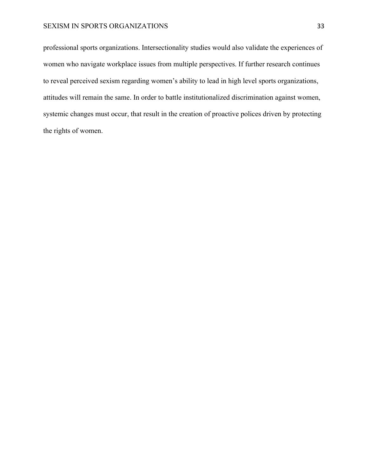#### SEXISM IN SPORTS ORGANIZATIONS 33

professional sports organizations. Intersectionality studies would also validate the experiences of women who navigate workplace issues from multiple perspectives. If further research continues to reveal perceived sexism regarding women's ability to lead in high level sports organizations, attitudes will remain the same. In order to battle institutionalized discrimination against women, systemic changes must occur, that result in the creation of proactive polices driven by protecting the rights of women.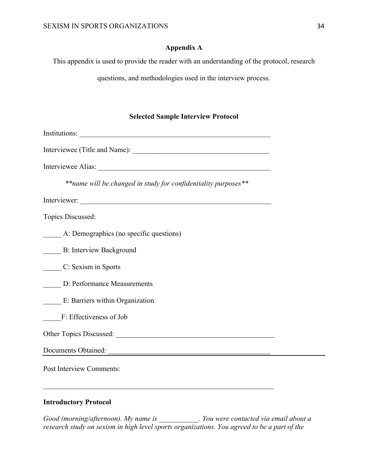#### **Appendix A**

This appendix is used to provide the reader with an understanding of the protocol, research

questions, and methodologies used in the interview process.

## **Selected Sample Interview Protocol**

| ** name will be changed in study for confidentiality purposes** |
|-----------------------------------------------------------------|
|                                                                 |
| Topics Discussed:                                               |
| A: Demographics (no specific questions)                         |
| <b>B: Interview Background</b>                                  |
| C: Sexism in Sports                                             |
| D: Performance Measurements                                     |
| E: Barriers within Organization                                 |
| F: Effectiveness of Job                                         |
| Other Topics Discussed: 2008. [2016] Chern Topics Discussed:    |
| Documents Obtained:                                             |
| Post Interview Comments:                                        |

## **Introductory Protocol**

*Good (morning/afternoon). My name is \_\_\_\_\_\_\_\_\_\_\_. You were contacted via email about a research study on sexism in high level sports organizations. You agreed to be a part of the*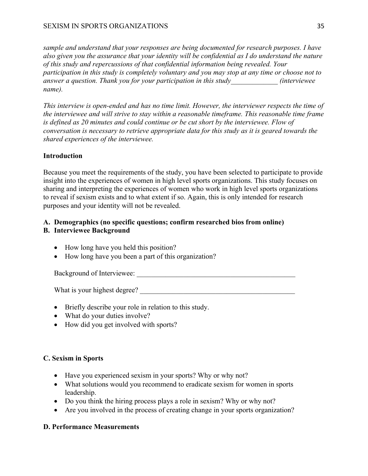*sample and understand that your responses are being documented for research purposes. I have also given you the assurance that your identity will be confidential as I do understand the nature of this study and repercussions of that confidential information being revealed. Your participation in this study is completely voluntary and you may stop at any time or choose not to answer a question. Thank you for your participation in this study\_\_\_\_\_\_\_\_\_\_\_\_\_ (interviewee name).* 

*This interview is open-ended and has no time limit. However, the interviewer respects the time of the interviewee and will strive to stay within a reasonable timeframe. This reasonable time frame is defined as 20 minutes and could continue or be cut short by the interviewee. Flow of conversation is necessary to retrieve appropriate data for this study as it is geared towards the shared experiences of the interviewee.* 

## **Introduction**

Because you meet the requirements of the study, you have been selected to participate to provide insight into the experiences of women in high level sports organizations. This study focuses on sharing and interpreting the experiences of women who work in high level sports organizations to reveal if sexism exists and to what extent if so. Again, this is only intended for research purposes and your identity will not be revealed.

## **A. Demographics (no specific questions; confirm researched bios from online)**

## **B. Interviewee Background**

- How long have you held this position?
- How long have you been a part of this organization?

Background of Interviewee: \_\_\_\_\_\_\_\_\_\_\_\_\_\_\_\_\_\_\_\_\_\_\_\_\_\_\_\_\_\_\_\_\_\_\_\_\_\_\_\_\_\_\_\_

What is your highest degree?

- Briefly describe your role in relation to this study.
- What do your duties involve?
- How did you get involved with sports?

#### **C. Sexism in Sports**

- Have you experienced sexism in your sports? Why or why not?
- What solutions would you recommend to eradicate sexism for women in sports leadership.
- Do you think the hiring process plays a role in sexism? Why or why not?
- Are you involved in the process of creating change in your sports organization?

#### **D. Performance Measurements**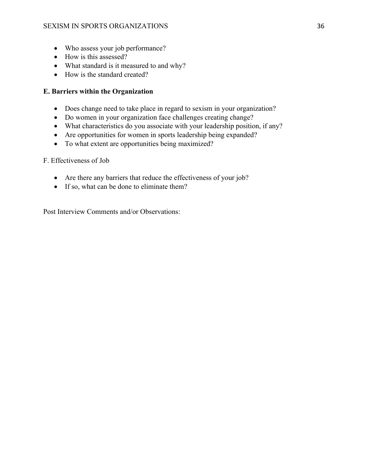- Who assess your job performance?
- How is this assessed?
- What standard is it measured to and why?
- How is the standard created?

#### **E. Barriers within the Organization**

- Does change need to take place in regard to sexism in your organization?
- Do women in your organization face challenges creating change?
- What characteristics do you associate with your leadership position, if any?
- Are opportunities for women in sports leadership being expanded?
- To what extent are opportunities being maximized?

#### F. Effectiveness of Job

- Are there any barriers that reduce the effectiveness of your job?
- If so, what can be done to eliminate them?

Post Interview Comments and/or Observations: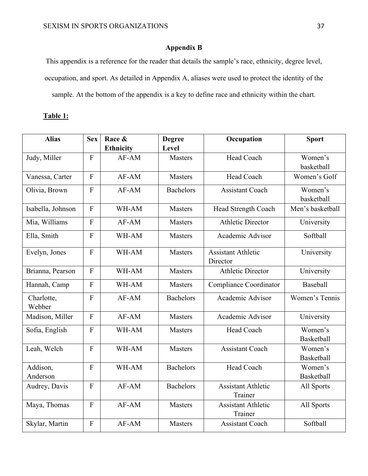## **Appendix B**

This appendix is a reference for the reader that details the sample's race, ethnicity, degree level, occupation, and sport. As detailed in Appendix A, aliases were used to protect the identity of the sample. At the bottom of the appendix is a key to define race and ethnicity within the chart.

## **Table 1:**

| <b>Alias</b>         | <b>Sex</b>                | Race &<br><b>Ethnicity</b> | <b>Degree</b><br>Level | Occupation                            | <b>Sport</b>                 |
|----------------------|---------------------------|----------------------------|------------------------|---------------------------------------|------------------------------|
| Judy, Miller         | $\boldsymbol{\mathrm{F}}$ | AF-AM                      | <b>Masters</b>         | Head Coach                            | Women's<br>basketball        |
| Vanessa, Carter      | $\overline{F}$            | AF-AM                      | <b>Masters</b>         | Head Coach                            | Women's Golf                 |
| Olivia, Brown        | $\mathbf F$               | $AF-AM$                    | <b>Bachelors</b>       | <b>Assistant Coach</b>                | Women's<br>basketball        |
| Isabella, Johnson    | $\overline{F}$            | WH-AM                      | <b>Masters</b>         | Head Strength Coach                   | Men's basketball             |
| Mia, Williams        | ${\bf F}$                 | $AF-AM$                    | Masters                | <b>Athletic Director</b>              | University                   |
| Ella, Smith          | ${\bf F}$                 | WH-AM                      | <b>Masters</b>         | Academic Advisor                      | Softball                     |
| Evelyn, Jones        | $\overline{F}$            | WH-AM                      | <b>Masters</b>         | <b>Assistant Athletic</b><br>Director | University                   |
| Brianna, Pearson     | $\overline{F}$            | WH-AM                      | Masters                | <b>Athletic Director</b>              | University                   |
| Hannah, Camp         | $\overline{F}$            | WH-AM                      | <b>Masters</b>         | <b>Compliance Coordinator</b>         | Baseball                     |
| Charlotte,<br>Webber | F                         | AF-AM                      | <b>Bachelors</b>       | Academic Advisor                      | Women's Tennis               |
| Madison, Miller      | F                         | AF-AM                      | <b>Masters</b>         | Academic Advisor                      | University                   |
| Sofia, English       | $\overline{F}$            | WH-AM                      | <b>Masters</b>         | Head Coach                            | Women's<br><b>Basketball</b> |
| Leah, Welch          | ${\bf F}$                 | WH-AM                      | <b>Masters</b>         | <b>Assistant Coach</b>                | Women's<br><b>Basketball</b> |
| Addison,<br>Anderson | $\overline{F}$            | WH-AM                      | <b>Bachelors</b>       | Head Coach                            | Women's<br><b>Basketball</b> |
| Audrey, Davis        | ${\bf F}$                 | AF-AM                      | <b>Bachelors</b>       | <b>Assistant Athletic</b><br>Trainer  | All Sports                   |
| Maya, Thomas         | $\mathbf F$               | AF-AM                      | <b>Masters</b>         | <b>Assistant Athletic</b><br>Trainer  | All Sports                   |
| Skylar, Martin       | F                         | AF-AM                      | <b>Masters</b>         | <b>Assistant Coach</b>                | Softball                     |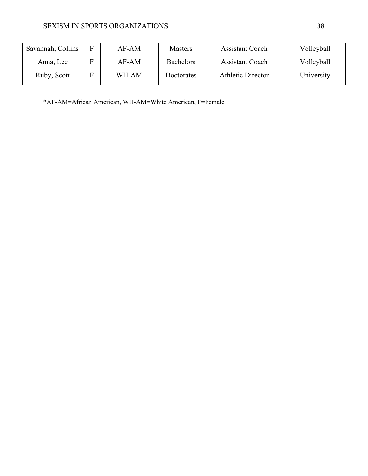| Savannah, Collins | E  | $AF-AM$ | <b>Masters</b>   | <b>Assistant Coach</b>   | Volleyball |
|-------------------|----|---------|------------------|--------------------------|------------|
| Anna, Lee         | F  | AF-AM   | <b>Bachelors</b> | <b>Assistant Coach</b>   | Volleyball |
| Ruby, Scott       | F. | WH-AM   | Doctorates       | <b>Athletic Director</b> | University |

\*AF-AM=African American, WH-AM=White American, F=Female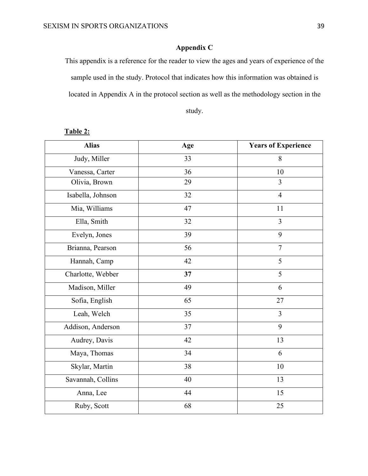## **Appendix C**

This appendix is a reference for the reader to view the ages and years of experience of the sample used in the study. Protocol that indicates how this information was obtained is located in Appendix A in the protocol section as well as the methodology section in the

study.

| <b>Alias</b>      | Age | <b>Years of Experience</b> |
|-------------------|-----|----------------------------|
| Judy, Miller      | 33  | 8                          |
| Vanessa, Carter   | 36  | 10                         |
| Olivia, Brown     | 29  | 3                          |
| Isabella, Johnson | 32  | $\overline{4}$             |
| Mia, Williams     | 47  | 11                         |
| Ella, Smith       | 32  | $\overline{3}$             |
| Evelyn, Jones     | 39  | 9                          |
| Brianna, Pearson  | 56  | $\tau$                     |
| Hannah, Camp      | 42  | 5                          |
| Charlotte, Webber | 37  | 5                          |
| Madison, Miller   | 49  | 6                          |
| Sofia, English    | 65  | 27                         |
| Leah, Welch       | 35  | $\overline{3}$             |
| Addison, Anderson | 37  | 9                          |
| Audrey, Davis     | 42  | 13                         |
| Maya, Thomas      | 34  | 6                          |
| Skylar, Martin    | 38  | 10                         |
| Savannah, Collins | 40  | 13                         |
| Anna, Lee         | 44  | 15                         |
| Ruby, Scott       | 68  | 25                         |

## **Table 2:**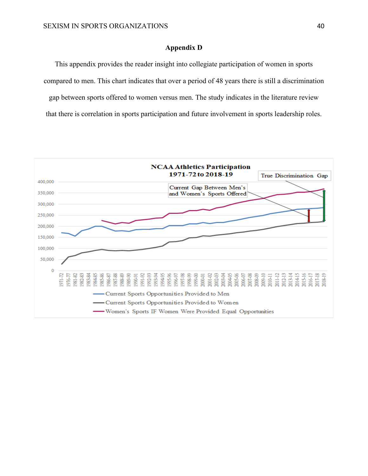#### **Appendix D**

This appendix provides the reader insight into collegiate participation of women in sports compared to men. This chart indicates that over a period of 48 years there is still a discrimination gap between sports offered to women versus men. The study indicates in the literature review that there is correlation in sports participation and future involvement in sports leadership roles.

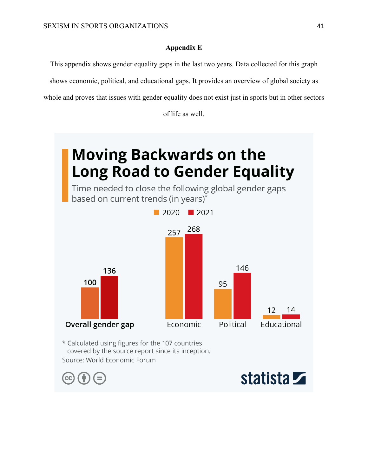#### **Appendix E**

This appendix shows gender equality gaps in the last two years. Data collected for this graph

shows economic, political, and educational gaps. It provides an overview of global society as

whole and proves that issues with gender equality does not exist just in sports but in other sectors

of life as well.

# **Moving Backwards on the Long Road to Gender Equality**

Time needed to close the following global gender gaps based on current trends (in years)\*



\* Calculated using figures for the 107 countries covered by the source report since its inception. Source: World Economic Forum



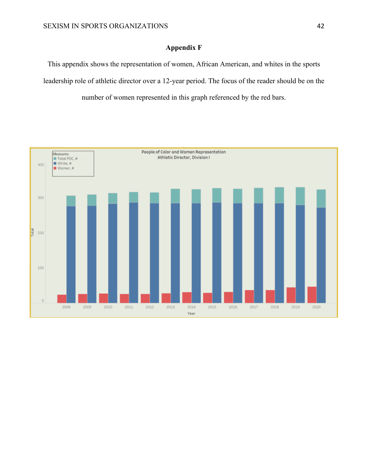## **Appendix F**

This appendix shows the representation of women, African American, and whites in the sports leadership role of athletic director over a 12-year period. The focus of the reader should be on the number of women represented in this graph referenced by the red bars.

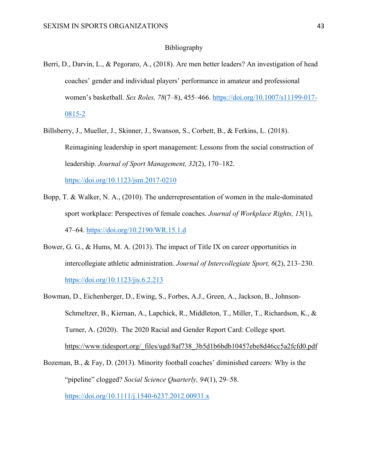#### Bibliography

- Berri, D., Darvin, L., & Pegoraro, A., (2018). Are men better leaders? An investigation of head coaches' gender and individual players' performance in amateur and professional women's basketball. *Sex Roles, 78*(7–8), 455–466. https://doi.org/10.1007/s11199-017- 0815-2
- Billsberry, J., Mueller, J., Skinner, J., Swanson, S., Corbett, B., & Ferkins, L. (2018). Reimagining leadership in sport management: Lessons from the social construction of leadership. *Journal of Sport Management, 32*(2), 170–182. https://doi.org/10.1123/jsm.2017-0210
- Bopp, T. & Walker, N. A., (2010). The underrepresentation of women in the male-dominated sport workplace: Perspectives of female coaches. *Journal of Workplace Rights, 15*(1), 47–64. https://doi.org/10.2190/WR.15.1.d
- Bower, G. G., & Hums, M. A. (2013). The impact of Title IX on career opportunities in intercollegiate athletic administration. *Journal of Intercollegiate Sport, 6*(2), 213–230. https://doi.org/10.1123/jis.6.2.213
- Bowman, D., Eichenberger, D., Ewing, S., Forbes, A.J., Green, A., Jackson, B., Johnson-Schmeltzer, B., Kiernan, A., Lapchick, R., Middleton, T., Miller, T., Richardson, K., & Turner, A. (2020). The 2020 Racial and Gender Report Card: College sport. https://www.tidesport.org/\_files/ugd/8af738\_3b5d1b6bdb10457ebe8d46cc5a2fcfd0.pdf

Bozeman, B., & Fay, D. (2013). Minority football coaches' diminished careers: Why is the "pipeline" clogged? *Social Science Quarterly, 94*(1), 29–58. https://doi.org/10.1111/j.1540-6237.2012.00931.x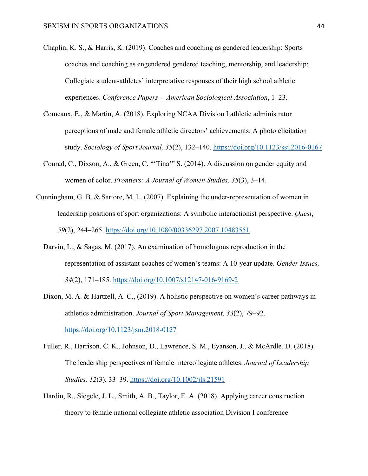- Chaplin, K. S., & Harris, K. (2019). Coaches and coaching as gendered leadership: Sports coaches and coaching as engendered gendered teaching, mentorship, and leadership: Collegiate student-athletes' interpretative responses of their high school athletic experiences. *Conference Papers -- American Sociological Association*, 1–23.
- Comeaux, E., & Martin, A. (2018). Exploring NCAA Division I athletic administrator perceptions of male and female athletic directors' achievements: A photo elicitation study. *Sociology of Sport Journal, 35*(2), 132–140. https://doi.org/10.1123/ssj.2016-0167
- Conrad, C., Dixson, A., & Green, C. "'Tina'" S. (2014). A discussion on gender equity and women of color. *Frontiers: A Journal of Women Studies, 35*(3), 3–14.
- Cunningham, G. B. & Sartore, M. L. (2007). Explaining the under-representation of women in leadership positions of sport organizations: A symbolic interactionist perspective. *Quest*, *59*(2), 244–265. https://doi.org/10.1080/00336297.2007.10483551
	- Darvin, L., & Sagas, M. (2017). An examination of homologous reproduction in the representation of assistant coaches of women's teams: A 10-year update. *Gender Issues, 34*(2), 171–185. https://doi.org/10.1007/s12147-016-9169-2
	- Dixon, M. A. & Hartzell, A. C., (2019). A holistic perspective on women's career pathways in athletics administration. *Journal of Sport Management, 33*(2), 79–92. https://doi.org/10.1123/jsm.2018-0127
	- Fuller, R., Harrison, C. K., Johnson, D., Lawrence, S. M., Eyanson, J., & McArdle, D. (2018). The leadership perspectives of female intercollegiate athletes. *Journal of Leadership Studies, 12*(3), 33–39. https://doi.org/10.1002/jls.21591
	- Hardin, R., Siegele, J. L., Smith, A. B., Taylor, E. A. (2018). Applying career construction theory to female national collegiate athletic association Division I conference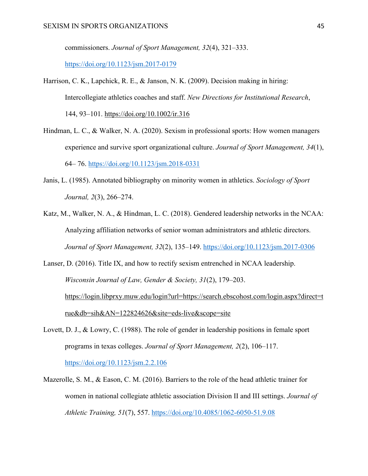commissioners. *Journal of Sport Management, 32*(4), 321–333.

https://doi.org/10.1123/jsm.2017-0179

- Harrison, C. K., Lapchick, R. E., & Janson, N. K. (2009). Decision making in hiring: Intercollegiate athletics coaches and staff. *New Directions for Institutional Research*, 144, 93–101. https://doi.org/10.1002/ir.316
- Hindman, L. C., & Walker, N. A. (2020). Sexism in professional sports: How women managers experience and survive sport organizational culture. *Journal of Sport Management, 34*(1), 64– 76. https://doi.org/10.1123/jsm.2018-0331
- Janis, L. (1985). Annotated bibliography on minority women in athletics. *Sociology of Sport Journal, 2*(3), 266–274.
- Katz, M., Walker, N. A., & Hindman, L. C. (2018). Gendered leadership networks in the NCAA: Analyzing affiliation networks of senior woman administrators and athletic directors. *Journal of Sport Management, 32*(2), 135–149. https://doi.org/10.1123/jsm.2017-0306
- Lanser, D. (2016). Title IX, and how to rectify sexism entrenched in NCAA leadership. *Wisconsin Journal of Law, Gender & Society, 31*(2), 179–203. https://login.libprxy.muw.edu/login?url=https://search.ebscohost.com/login.aspx?direct=t rue&db=sih&AN=122824626&site=eds-live&scope=site
- Lovett, D. J., & Lowry, C. (1988). The role of gender in leadership positions in female sport programs in texas colleges. *Journal of Sport Management, 2*(2), 106–117. https://doi.org/10.1123/jsm.2.2.106
- Mazerolle, S. M., & Eason, C. M. (2016). Barriers to the role of the head athletic trainer for women in national collegiate athletic association Division II and III settings. *Journal of Athletic Training, 51*(7), 557. https://doi.org/10.4085/1062-6050-51.9.08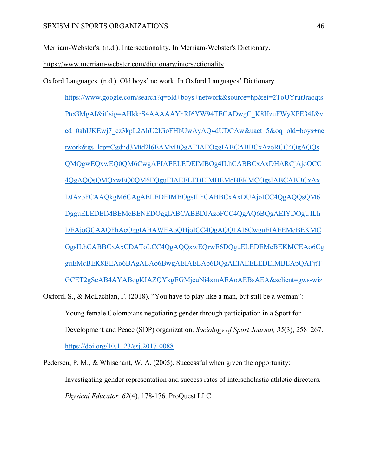Merriam-Webster's. (n.d.). Intersectionality. In Merriam-Webster's Dictionary.

https://www.merriam-webster.com/dictionary/intersectionality

Oxford Languages. (n.d.). Old boys' network. In Oxford Languages' Dictionary.

https://www.google.com/search?q=old+boys+network&source=hp&ei=2ToUYrutJraoqts PteGMgAI&iflsig=AHkkrS4AAAAAYhRI6YW94TECADwgC\_K8HzuFWyXPE34J&v ed=0ahUKEwj7\_ez3kpL2AhU2lGoFHbUwAyAQ4dUDCAw&uact=5&oq=old+boys+ne twork&gs\_lcp=Cgdnd3Mtd2l6EAMyBQgAEIAEOggIABCABBCxAzoRCC4QgAQQs QMQgwEQxwEQ0QM6CwgAEIAEELEDEIMBOg4ILhCABBCxAxDHARCjAjoOCC 4QgAQQsQMQxwEQ0QM6EQguEIAEELEDEIMBEMcBEKMCOgsIABCABBCxAx DJAzoFCAAQkgM6CAgAELEDEIMBOgsILhCABBCxAxDUAjoICC4QgAQQsQM6 DgguELEDEIMBEMcBENEDOggIABCABBDJAzoFCC4QgAQ6BQgAEIYDOgUILh DEAjoGCAAQFhAeOggIABAWEAoQHjoICC4QgAQQ1AI6CwguEIAEEMcBEKMC OgsILhCABBCxAxCDAToLCC4QgAQQxwEQrwE6DQguELEDEMcBEKMCEAo6Cg guEMcBEK8BEAo6BAgAEAo6BwgAEIAEEAo6DQgAEIAEELEDEIMBEApQAFjtT GCET2gScAB4AYABogKIAZQYkgEGMjcuNi4xmAEAoAEBsAEA&sclient=gws-wiz

Oxford, S., & McLachlan, F. (2018). "You have to play like a man, but still be a woman": Young female Colombians negotiating gender through participation in a Sport for Development and Peace (SDP) organization. *Sociology of Sport Journal, 35*(3), 258–267. https://doi.org/10.1123/ssj.2017-0088

Pedersen, P. M., & Whisenant, W. A. (2005). Successful when given the opportunity: Investigating gender representation and success rates of interscholastic athletic directors. *Physical Educator, 62*(4), 178-176. ProQuest LLC.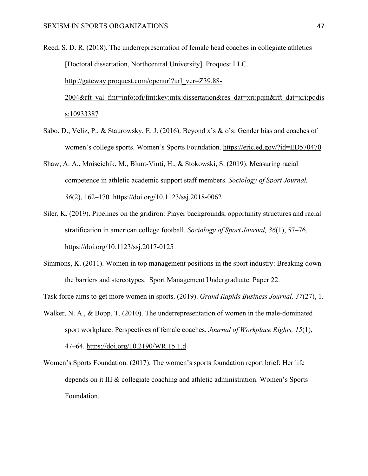- Reed, S. D. R. (2018). The underrepresentation of female head coaches in collegiate athletics [Doctoral dissertation, Northcentral University]. Proquest LLC. http://gateway.proquest.com/openurl?url\_ver=Z39.88-2004&rft\_val\_fmt=info:ofi/fmt:kev:mtx:dissertation&res\_dat=xri:pqm&rft\_dat=xri:pqdis s:10933387
- Sabo, D., Veliz, P., & Staurowsky, E. J. (2016). Beyond x's & o's: Gender bias and coaches of women's college sports. Women's Sports Foundation. https://eric.ed.gov/?id=ED570470
- Shaw, A. A., Moiseichik, M., Blunt-Vinti, H., & Stokowski, S. (2019). Measuring racial competence in athletic academic support staff members. *Sociology of Sport Journal, 36*(2), 162–170. https://doi.org/10.1123/ssj.2018-0062
- Siler, K. (2019). Pipelines on the gridiron: Player backgrounds, opportunity structures and racial stratification in american college football. *Sociology of Sport Journal, 36*(1), 57–76. https://doi.org/10.1123/ssj.2017-0125
- Simmons, K. (2011). Women in top management positions in the sport industry: Breaking down the barriers and stereotypes. Sport Management Undergraduate. Paper 22.

Task force aims to get more women in sports. (2019). *Grand Rapids Business Journal, 37*(27), 1.

- Walker, N. A., & Bopp, T. (2010). The underrepresentation of women in the male-dominated sport workplace: Perspectives of female coaches. *Journal of Workplace Rights, 15*(1), 47–64. https://doi.org/10.2190/WR.15.1.d
- Women's Sports Foundation. (2017). The women's sports foundation report brief: Her life depends on it III & collegiate coaching and athletic administration. Women's Sports Foundation.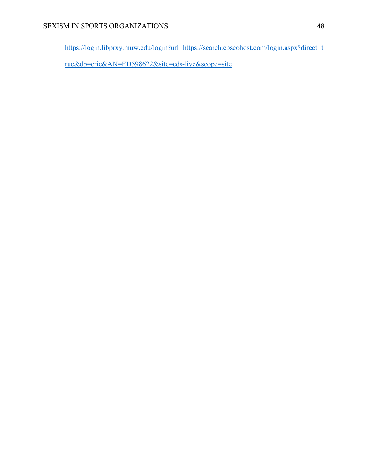https://login.libprxy.muw.edu/login?url=https://search.ebscohost.com/login.aspx?direct=t

rue&db=eric&AN=ED598622&site=eds-live&scope=site